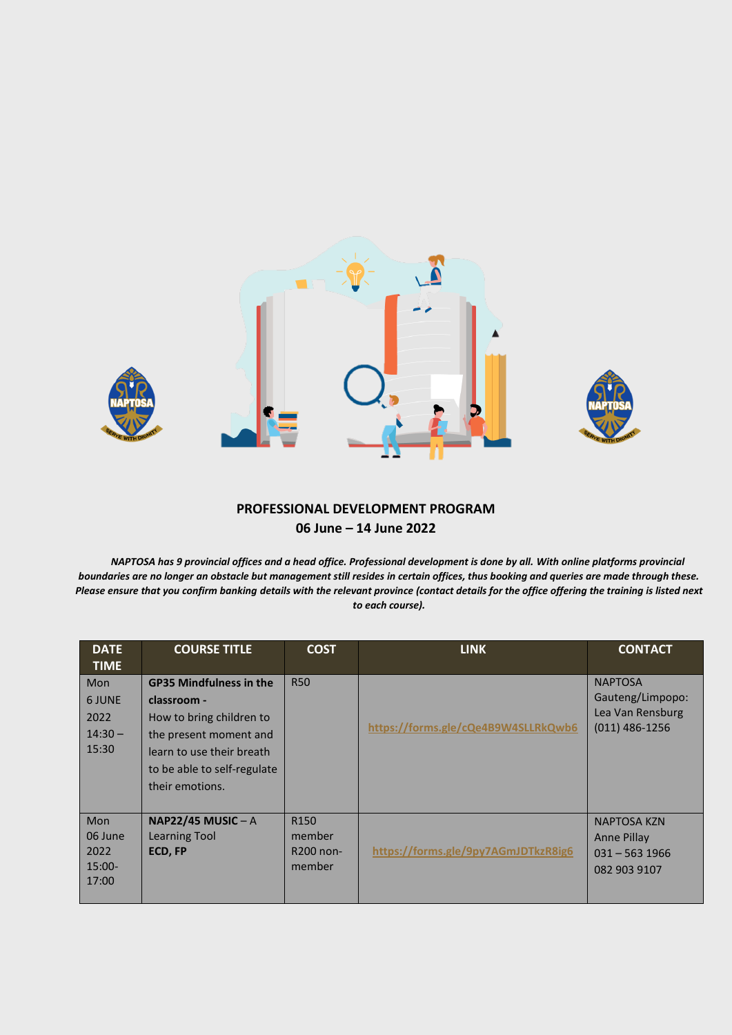

## **PROFESSIONAL DEVELOPMENT PROGRAM 06 June – 14 June 2022**

*NAPTOSA has 9 provincial offices and a head office. Professional development is done by all. With online platforms provincial boundaries are no longer an obstacle but management still resides in certain offices, thus booking and queries are made through these.* Please ensure that you confirm banking details with the relevant province (contact details for the office offering the training is listed next *to each course).*

| <b>DATE</b><br><b>TIME</b>                         | <b>COURSE TITLE</b>                                                                                                                                                                | <b>COST</b>                                       | <b>LINK</b>                         | <b>CONTACT</b>                                                             |
|----------------------------------------------------|------------------------------------------------------------------------------------------------------------------------------------------------------------------------------------|---------------------------------------------------|-------------------------------------|----------------------------------------------------------------------------|
| Mon<br>6 JUNE<br>2022<br>$14:30 -$<br>15:30        | <b>GP35 Mindfulness in the</b><br>classroom -<br>How to bring children to<br>the present moment and<br>learn to use their breath<br>to be able to self-regulate<br>their emotions. | <b>R50</b>                                        | https://forms.gle/cQe4B9W4SLLRkQwb6 | <b>NAPTOSA</b><br>Gauteng/Limpopo:<br>Lea Van Rensburg<br>$(011)$ 486-1256 |
| <b>Mon</b><br>06 June<br>2022<br>$15:00-$<br>17:00 | NAP22/45 MUSIC - A<br>Learning Tool<br>ECD, FP                                                                                                                                     | R <sub>150</sub><br>member<br>R200 non-<br>member | https://forms.gle/9py7AGmJDTkzR8ig6 | <b>NAPTOSA KZN</b><br>Anne Pillay<br>$031 - 563$ 1966<br>082 903 9107      |